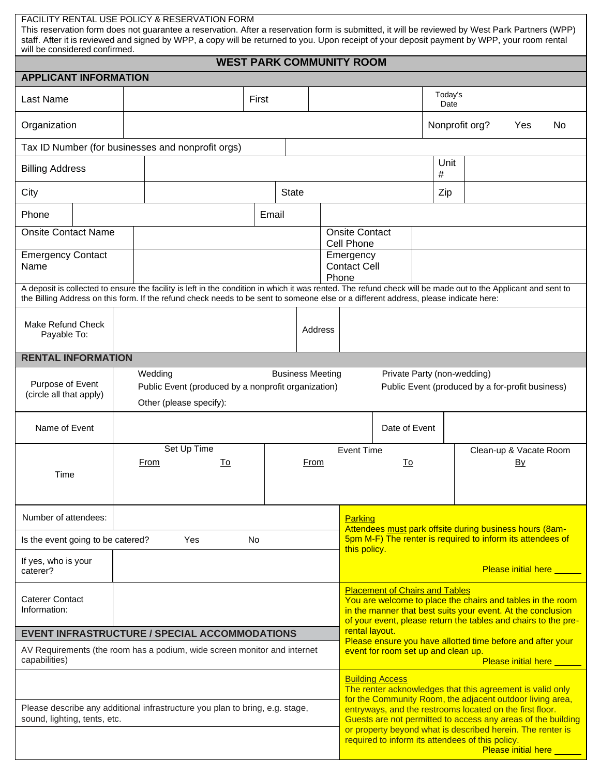| FACILITY RENTAL USE POLICY & RESERVATION FORM<br>This reservation form does not guarantee a reservation. After a reservation form is submitted, it will be reviewed by West Park Partners (WPP)<br>staff. After it is reviewed and signed by WPP, a copy will be returned to you. Upon receipt of your deposit payment by WPP, your room rental<br>will be considered confirmed. |                                                                                                                                                                                                                                                                                                       |              |         |                                                                                                                                                                                                                                                                                                                                                                                           |                                                                                                                                                                                                                                                                                                                                                                                                                         |                 |           |  |                                    |  |  |
|----------------------------------------------------------------------------------------------------------------------------------------------------------------------------------------------------------------------------------------------------------------------------------------------------------------------------------------------------------------------------------|-------------------------------------------------------------------------------------------------------------------------------------------------------------------------------------------------------------------------------------------------------------------------------------------------------|--------------|---------|-------------------------------------------------------------------------------------------------------------------------------------------------------------------------------------------------------------------------------------------------------------------------------------------------------------------------------------------------------------------------------------------|-------------------------------------------------------------------------------------------------------------------------------------------------------------------------------------------------------------------------------------------------------------------------------------------------------------------------------------------------------------------------------------------------------------------------|-----------------|-----------|--|------------------------------------|--|--|
| <b>WEST PARK COMMUNITY ROOM</b>                                                                                                                                                                                                                                                                                                                                                  |                                                                                                                                                                                                                                                                                                       |              |         |                                                                                                                                                                                                                                                                                                                                                                                           |                                                                                                                                                                                                                                                                                                                                                                                                                         |                 |           |  |                                    |  |  |
| <b>APPLICANT INFORMATION</b>                                                                                                                                                                                                                                                                                                                                                     |                                                                                                                                                                                                                                                                                                       |              |         |                                                                                                                                                                                                                                                                                                                                                                                           |                                                                                                                                                                                                                                                                                                                                                                                                                         |                 |           |  |                                    |  |  |
| Last Name                                                                                                                                                                                                                                                                                                                                                                        |                                                                                                                                                                                                                                                                                                       | First        |         |                                                                                                                                                                                                                                                                                                                                                                                           |                                                                                                                                                                                                                                                                                                                                                                                                                         | Today's<br>Date |           |  |                                    |  |  |
| Organization                                                                                                                                                                                                                                                                                                                                                                     |                                                                                                                                                                                                                                                                                                       |              |         | Nonprofit org?<br>Yes<br>No.                                                                                                                                                                                                                                                                                                                                                              |                                                                                                                                                                                                                                                                                                                                                                                                                         |                 |           |  |                                    |  |  |
|                                                                                                                                                                                                                                                                                                                                                                                  | Tax ID Number (for businesses and nonprofit orgs)                                                                                                                                                                                                                                                     |              |         |                                                                                                                                                                                                                                                                                                                                                                                           |                                                                                                                                                                                                                                                                                                                                                                                                                         |                 |           |  |                                    |  |  |
| <b>Billing Address</b>                                                                                                                                                                                                                                                                                                                                                           |                                                                                                                                                                                                                                                                                                       |              |         |                                                                                                                                                                                                                                                                                                                                                                                           |                                                                                                                                                                                                                                                                                                                                                                                                                         |                 | Unit<br># |  |                                    |  |  |
| City                                                                                                                                                                                                                                                                                                                                                                             |                                                                                                                                                                                                                                                                                                       | <b>State</b> |         |                                                                                                                                                                                                                                                                                                                                                                                           |                                                                                                                                                                                                                                                                                                                                                                                                                         |                 | Zip       |  |                                    |  |  |
| Phone                                                                                                                                                                                                                                                                                                                                                                            |                                                                                                                                                                                                                                                                                                       | Email        |         |                                                                                                                                                                                                                                                                                                                                                                                           |                                                                                                                                                                                                                                                                                                                                                                                                                         |                 |           |  |                                    |  |  |
| <b>Onsite Contact Name</b>                                                                                                                                                                                                                                                                                                                                                       |                                                                                                                                                                                                                                                                                                       |              |         |                                                                                                                                                                                                                                                                                                                                                                                           | <b>Onsite Contact</b><br>Cell Phone                                                                                                                                                                                                                                                                                                                                                                                     |                 |           |  |                                    |  |  |
| <b>Emergency Contact</b><br>Name                                                                                                                                                                                                                                                                                                                                                 |                                                                                                                                                                                                                                                                                                       |              |         | Emergency<br>Phone                                                                                                                                                                                                                                                                                                                                                                        | <b>Contact Cell</b>                                                                                                                                                                                                                                                                                                                                                                                                     |                 |           |  |                                    |  |  |
|                                                                                                                                                                                                                                                                                                                                                                                  | A deposit is collected to ensure the facility is left in the condition in which it was rented. The refund check will be made out to the Applicant and sent to<br>the Billing Address on this form. If the refund check needs to be sent to someone else or a different address, please indicate here: |              |         |                                                                                                                                                                                                                                                                                                                                                                                           |                                                                                                                                                                                                                                                                                                                                                                                                                         |                 |           |  |                                    |  |  |
| Make Refund Check<br>Payable To:                                                                                                                                                                                                                                                                                                                                                 |                                                                                                                                                                                                                                                                                                       |              | Address |                                                                                                                                                                                                                                                                                                                                                                                           |                                                                                                                                                                                                                                                                                                                                                                                                                         |                 |           |  |                                    |  |  |
| <b>RENTAL INFORMATION</b>                                                                                                                                                                                                                                                                                                                                                        |                                                                                                                                                                                                                                                                                                       |              |         |                                                                                                                                                                                                                                                                                                                                                                                           |                                                                                                                                                                                                                                                                                                                                                                                                                         |                 |           |  |                                    |  |  |
| Wedding<br><b>Business Meeting</b><br>Private Party (non-wedding)<br>Purpose of Event<br>Public Event (produced by a nonprofit organization)<br>Public Event (produced by a for-profit business)<br>(circle all that apply)<br>Other (please specify):                                                                                                                           |                                                                                                                                                                                                                                                                                                       |              |         |                                                                                                                                                                                                                                                                                                                                                                                           |                                                                                                                                                                                                                                                                                                                                                                                                                         |                 |           |  |                                    |  |  |
| Name of Event                                                                                                                                                                                                                                                                                                                                                                    |                                                                                                                                                                                                                                                                                                       |              |         |                                                                                                                                                                                                                                                                                                                                                                                           |                                                                                                                                                                                                                                                                                                                                                                                                                         | Date of Event   |           |  |                                    |  |  |
| Time                                                                                                                                                                                                                                                                                                                                                                             | Set Up Time<br>To<br>From                                                                                                                                                                                                                                                                             |              | From    |                                                                                                                                                                                                                                                                                                                                                                                           | <b>Event Time</b>                                                                                                                                                                                                                                                                                                                                                                                                       | To              |           |  | Clean-up & Vacate Room<br>By       |  |  |
| Number of attendees:                                                                                                                                                                                                                                                                                                                                                             |                                                                                                                                                                                                                                                                                                       |              |         |                                                                                                                                                                                                                                                                                                                                                                                           | Parking                                                                                                                                                                                                                                                                                                                                                                                                                 |                 |           |  |                                    |  |  |
| Is the event going to be catered?<br>Yes<br>No                                                                                                                                                                                                                                                                                                                                   |                                                                                                                                                                                                                                                                                                       |              |         |                                                                                                                                                                                                                                                                                                                                                                                           | Attendees must park offsite during business hours (8am-<br>5pm M-F) The renter is required to inform its attendees of<br>this policy.                                                                                                                                                                                                                                                                                   |                 |           |  |                                    |  |  |
| If yes, who is your<br>caterer?                                                                                                                                                                                                                                                                                                                                                  |                                                                                                                                                                                                                                                                                                       |              |         |                                                                                                                                                                                                                                                                                                                                                                                           |                                                                                                                                                                                                                                                                                                                                                                                                                         |                 |           |  | <b>Please initial here Network</b> |  |  |
| <b>Caterer Contact</b><br>Information:<br><b>EVENT INFRASTRUCTURE / SPECIAL ACCOMMODATIONS</b><br>AV Requirements (the room has a podium, wide screen monitor and internet<br>capabilities)                                                                                                                                                                                      |                                                                                                                                                                                                                                                                                                       |              |         | <b>Placement of Chairs and Tables</b><br>You are welcome to place the chairs and tables in the room<br>in the manner that best suits your event. At the conclusion<br>of your event, please return the tables and chairs to the pre-<br>rental layout.<br>Please ensure you have allotted time before and after your<br>event for room set up and clean up.<br><b>Please initial here</b> |                                                                                                                                                                                                                                                                                                                                                                                                                         |                 |           |  |                                    |  |  |
| Please describe any additional infrastructure you plan to bring, e.g. stage,<br>sound, lighting, tents, etc.                                                                                                                                                                                                                                                                     |                                                                                                                                                                                                                                                                                                       |              |         |                                                                                                                                                                                                                                                                                                                                                                                           | <b>Building Access</b><br>The renter acknowledges that this agreement is valid only<br>for the Community Room, the adjacent outdoor living area,<br>entryways, and the restrooms located on the first floor.<br>Guests are not permitted to access any areas of the building<br>or property beyond what is described herein. The renter is<br>required to inform its attendees of this policy.<br>Please initial here _ |                 |           |  |                                    |  |  |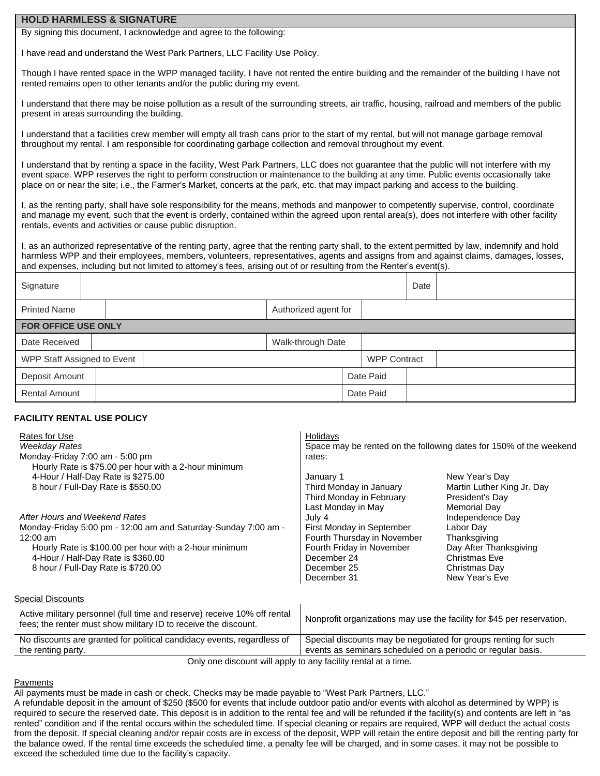### **HOLD HARMLESS & SIGNATURE**

By signing this document, I acknowledge and agree to the following:

I have read and understand the West Park Partners, LLC Facility Use Policy.

Though I have rented space in the WPP managed facility, I have not rented the entire building and the remainder of the building I have not rented remains open to other tenants and/or the public during my event.

I understand that there may be noise pollution as a result of the surrounding streets, air traffic, housing, railroad and members of the public present in areas surrounding the building.

I understand that a facilities crew member will empty all trash cans prior to the start of my rental, but will not manage garbage removal throughout my rental. I am responsible for coordinating garbage collection and removal throughout my event.

I understand that by renting a space in the facility, West Park Partners, LLC does not guarantee that the public will not interfere with my event space. WPP reserves the right to perform construction or maintenance to the building at any time. Public events occasionally take place on or near the site; i.e., the Farmer's Market, concerts at the park, etc. that may impact parking and access to the building.

I, as the renting party, shall have sole responsibility for the means, methods and manpower to competently supervise, control, coordinate and manage my event, such that the event is orderly, contained within the agreed upon rental area(s), does not interfere with other facility rentals, events and activities or cause public disruption.

I, as an authorized representative of the renting party, agree that the renting party shall, to the extent permitted by law, indemnify and hold harmless WPP and their employees, members, volunteers, representatives, agents and assigns from and against claims, damages, losses, and expenses, including but not limited to attorney's fees, arising out of or resulting from the Renter's event(s).

| Signature                   |  |  |                      |  |                     | Date |  |
|-----------------------------|--|--|----------------------|--|---------------------|------|--|
| <b>Printed Name</b>         |  |  | Authorized agent for |  |                     |      |  |
| <b>FOR OFFICE USE ONLY</b>  |  |  |                      |  |                     |      |  |
| Date Received               |  |  | Walk-through Date    |  |                     |      |  |
| WPP Staff Assigned to Event |  |  |                      |  | <b>WPP Contract</b> |      |  |
| Deposit Amount              |  |  |                      |  | Date Paid           |      |  |
| <b>Rental Amount</b>        |  |  |                      |  | Date Paid           |      |  |

# **FACILITY RENTAL USE POLICY**

| Rates for Use<br>Weekday Rates<br>Monday-Friday 7:00 am - 5:00 pm<br>Hourly Rate is \$75.00 per hour with a 2-hour minimum                                                                                                                          | Holidays<br>Space may be rented on the following dates for 150% of the weekend<br>rates:                                                                           |                                                                                                                                                           |  |  |  |  |
|-----------------------------------------------------------------------------------------------------------------------------------------------------------------------------------------------------------------------------------------------------|--------------------------------------------------------------------------------------------------------------------------------------------------------------------|-----------------------------------------------------------------------------------------------------------------------------------------------------------|--|--|--|--|
| 4-Hour / Half-Day Rate is \$275.00<br>8 hour / Full-Day Rate is \$550.00                                                                                                                                                                            | January 1<br>Third Monday in January<br>Third Monday in February                                                                                                   | New Year's Day<br>Martin Luther King Jr. Day<br>President's Day                                                                                           |  |  |  |  |
| After Hours and Weekend Rates<br>Monday-Friday 5:00 pm - 12:00 am and Saturday-Sunday 7:00 am -<br>$12:00$ am<br>Hourly Rate is \$100.00 per hour with a 2-hour minimum<br>4-Hour / Half-Day Rate is \$360.00<br>8 hour / Full-Day Rate is \$720.00 | Last Monday in May<br>July 4<br>First Monday in September<br>Fourth Thursday in November<br>Fourth Friday in November<br>December 24<br>December 25<br>December 31 | <b>Memorial Day</b><br>Independence Day<br>Labor Day<br>Thanksgiving<br>Day After Thanksgiving<br><b>Christmas Eve</b><br>Christmas Day<br>New Year's Eve |  |  |  |  |
| Special Discounts                                                                                                                                                                                                                                   |                                                                                                                                                                    |                                                                                                                                                           |  |  |  |  |
| Active military personnel (full time and reserve) receive 10% off rental<br>fees; the renter must show military ID to receive the discount.                                                                                                         | Nonprofit organizations may use the facility for \$45 per reservation.                                                                                             |                                                                                                                                                           |  |  |  |  |
| No discounts are granted for political candidacy events, regardless of<br>the renting party.                                                                                                                                                        | Special discounts may be negotiated for groups renting for such<br>events as seminars scheduled on a periodic or regular basis.                                    |                                                                                                                                                           |  |  |  |  |

Only one discount will apply to any facility rental at a time.

### Payments

All payments must be made in cash or check. Checks may be made payable to "West Park Partners, LLC."

A refundable deposit in the amount of \$250 (\$500 for events that include outdoor patio and/or events with alcohol as determined by WPP) is required to secure the reserved date. This deposit is in addition to the rental fee and will be refunded if the facility(s) and contents are left in "as rented" condition and if the rental occurs within the scheduled time. If special cleaning or repairs are required, WPP will deduct the actual costs from the deposit. If special cleaning and/or repair costs are in excess of the deposit, WPP will retain the entire deposit and bill the renting party for the balance owed. If the rental time exceeds the scheduled time, a penalty fee will be charged, and in some cases, it may not be possible to exceed the scheduled time due to the facility's capacity.